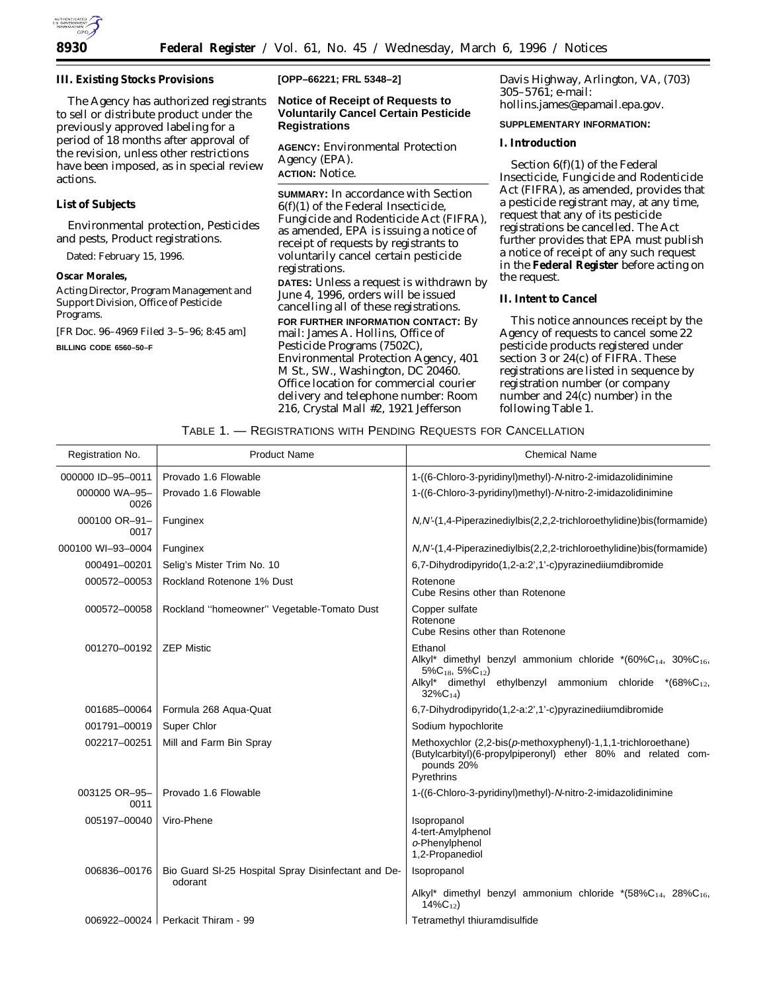

**III. Existing Stocks Provisions**

The Agency has authorized registrants to sell or distribute product under the previously approved labeling for a period of 18 months after approval of the revision, unless other restrictions have been imposed, as in special review actions.

# **List of Subjects**

Environmental protection, Pesticides and pests, Product registrations.

Dated: February 15, 1996.

**Oscar Morales,**

*Acting Director, Program Management and Support Division, Office of Pesticide Programs.*

[FR Doc. 96–4969 Filed 3–5–96; 8:45 am] **BILLING CODE 6560–50–F**

**[OPP–66221; FRL 5348–2]**

## **Notice of Receipt of Requests to Voluntarily Cancel Certain Pesticide Registrations**

**AGENCY:** Environmental Protection Agency (EPA). **ACTION:** Notice.

**SUMMARY:** In accordance with Section 6(f)(1) of the Federal Insecticide, Fungicide and Rodenticide Act (FIFRA), as amended, EPA is issuing a notice of receipt of requests by registrants to voluntarily cancel certain pesticide registrations.

**DATES:** Unless a request is withdrawn by June 4, 1996, orders will be issued cancelling all of these registrations. **FOR FURTHER INFORMATION CONTACT:** By

mail: James A. Hollins, Office of Pesticide Programs (7502C), Environmental Protection Agency, 401 M St., SW., Washington, DC 20460. Office location for commercial courier delivery and telephone number: Room 216, Crystal Mall #2, 1921 Jefferson

Davis Highway, Arlington, VA, (703) 305–5761; e-mail: hollins.james@epamail.epa.gov.

## **SUPPLEMENTARY INFORMATION:**

**I. Introduction**

Section 6(f)(1) of the Federal Insecticide, Fungicide and Rodenticide Act (FIFRA), as amended, provides that a pesticide registrant may, at any time, request that any of its pesticide registrations be cancelled. The Act further provides that EPA must publish a notice of receipt of any such request in the **Federal Register** before acting on the request.

#### **II. Intent to Cancel**

This notice announces receipt by the Agency of requests to cancel some 22 pesticide products registered under section 3 or 24(c) of FIFRA. These registrations are listed in sequence by registration number (or company number and 24(c) number) in the following Table 1.

## TABLE 1. — REGISTRATIONS WITH PENDING REQUESTS FOR CANCELLATION

| Registration No.      | <b>Product Name</b>                                            | <b>Chemical Name</b>                                                                                                                                                                                |
|-----------------------|----------------------------------------------------------------|-----------------------------------------------------------------------------------------------------------------------------------------------------------------------------------------------------|
| 000000 ID-95-0011     | Provado 1.6 Flowable                                           | 1-((6-Chloro-3-pyridinyl)methyl)-N-nitro-2-imidazolidinimine                                                                                                                                        |
| 000000 WA-95-<br>0026 | Provado 1.6 Flowable                                           | 1-((6-Chloro-3-pyridinyl)methyl)-N-nitro-2-imidazolidinimine                                                                                                                                        |
| 000100 OR-91-<br>0017 | Funginex                                                       | N, N'-(1,4-Piperazinediylbis(2,2,2-trichloroethylidine)bis(formamide)                                                                                                                               |
| 000100 WI-93-0004     | Funginex                                                       | $N, N'$ -(1,4-Piperazinediylbis(2,2,2-trichloroethylidine)bis(formamide)                                                                                                                            |
| 000491-00201          | Selig's Mister Trim No. 10                                     | 6,7-Dihydrodipyrido(1,2-a:2',1'-c)pyrazinediiumdibromide                                                                                                                                            |
| 000572-00053          | Rockland Rotenone 1% Dust                                      | Rotenone<br>Cube Resins other than Rotenone                                                                                                                                                         |
| 000572-00058          | Rockland "homeowner" Vegetable-Tomato Dust                     | Copper sulfate<br>Rotenone<br>Cube Resins other than Rotenone                                                                                                                                       |
| 001270-00192          | <b>ZEP Mistic</b>                                              | Ethanol<br>Alkyl* dimethyl benzyl ammonium chloride * $(60\%C_{14}, 30\%C_{16},$<br>$5\%C_{18}$ , $5\%C_{12}$ )<br>Alkyl* dimethyl ethylbenzyl ammonium chloride<br>$*(68\%C_{12},$<br>$32\%C_{14}$ |
| 001685-00064          | Formula 268 Aqua-Quat                                          | 6,7-Dihydrodipyrido(1,2-a:2',1'-c)pyrazinediiumdibromide                                                                                                                                            |
| 001791-00019          | Super Chlor                                                    | Sodium hypochlorite                                                                                                                                                                                 |
| 002217-00251          | Mill and Farm Bin Spray                                        | Methoxychlor (2,2-bis(p-methoxyphenyl)-1,1,1-trichloroethane)<br>(Butylcarbityl)(6-propylpiperonyl) ether 80% and related com-<br>pounds 20%<br>Pyrethrins                                          |
| 003125 OR-95-<br>0011 | Provado 1.6 Flowable                                           | 1-((6-Chloro-3-pyridinyl)methyl)-N-nitro-2-imidazolidinimine                                                                                                                                        |
| 005197-00040          | Viro-Phene                                                     | Isopropanol<br>4-tert-Amylphenol<br>o-Phenylphenol<br>1,2-Propanediol                                                                                                                               |
| 006836-00176          | Bio Guard SI-25 Hospital Spray Disinfectant and De-<br>odorant | Isopropanol                                                                                                                                                                                         |
|                       |                                                                | Alkyl* dimethyl benzyl ammonium chloride *(58%C <sub>14</sub> , 28%C <sub>16</sub> ,<br>$14\%C_{12}$                                                                                                |
|                       | 006922-00024 Perkacit Thiram - 99                              | Tetramethyl thiuramdisulfide                                                                                                                                                                        |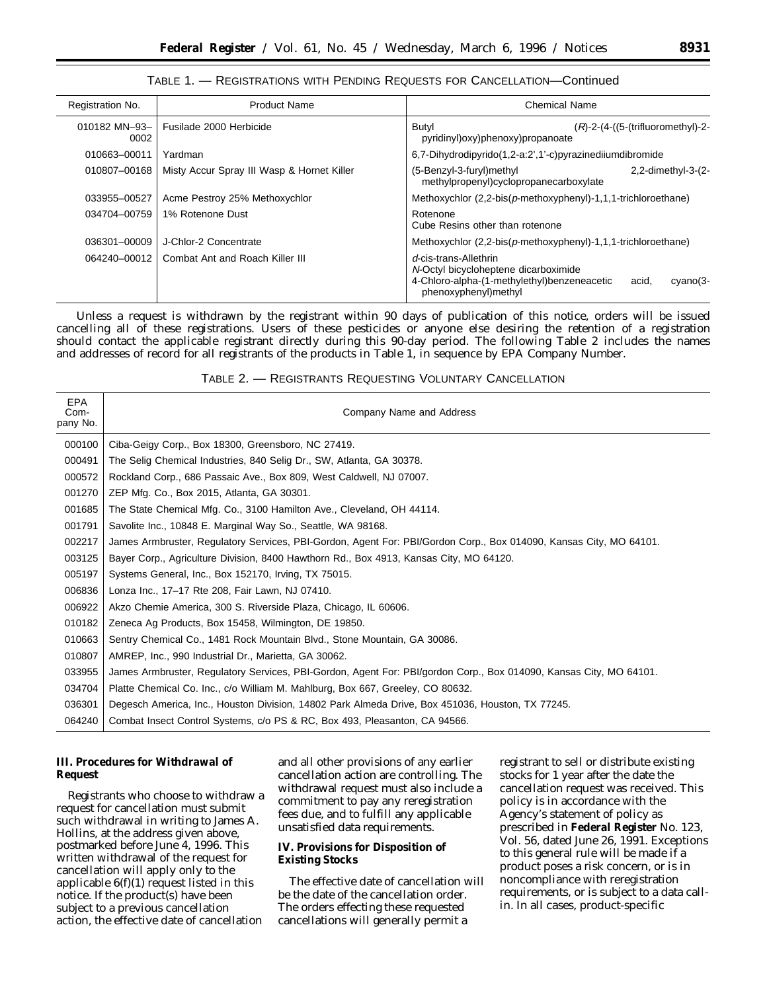## TABLE 1. — REGISTRATIONS WITH PENDING REQUESTS FOR CANCELLATION—Continued

| Registration No.      | <b>Product Name</b>                        | <b>Chemical Name</b>                                                                                                                                      |
|-----------------------|--------------------------------------------|-----------------------------------------------------------------------------------------------------------------------------------------------------------|
| 010182 MN-93-<br>0002 | Fusilade 2000 Herbicide                    | Butyl<br>$(R)$ -2- $(4-(5-(\text{trifluorometry})-2-\text{er}(\text{trifluorometry}))$<br>pyridinyl)oxy)phenoxy)propanoate                                |
| 010663-00011          | Yardman                                    | 6,7-Dihydrodipyrido(1,2-a:2',1'-c)pyrazinediiumdibromide                                                                                                  |
| 010807-00168          | Misty Accur Spray III Wasp & Hornet Killer | (5-Benzyl-3-furyl)methyl<br>$2,2$ -dimethyl-3- $(2-$<br>methylpropenyl)cyclopropanecarboxylate                                                            |
| 033955-00527          | Acme Pestroy 25% Methoxychlor              | Methoxychlor $(2,2-bis(\rho-methoxyphenyl)-1,1,1-trichloroethane)$                                                                                        |
| 034704-00759          | 1% Rotenone Dust                           | Rotenone<br>Cube Resins other than rotenone                                                                                                               |
| 036301-00009          | J-Chlor-2 Concentrate                      | Methoxychlor $(2,2-bis(p-methoxyphenyl)-1,1,1-trichloroethane)$                                                                                           |
| 064240-00012          | Combat Ant and Roach Killer III            | d-cis-trans-Allethrin<br>N-Octyl bicycloheptene dicarboximide<br>4-Chloro-alpha-(1-methylethyl)benzeneacetic<br>acid,<br>cyano(3-<br>phenoxyphenyl)methyl |

Unless a request is withdrawn by the registrant within 90 days of publication of this notice, orders will be issued cancelling all of these registrations. Users of these pesticides or anyone else desiring the retention of a registration should contact the applicable registrant directly during this 90-day period. The following Table 2 includes the names and addresses of record for all registrants of the products in Table 1, in sequence by EPA Company Number.

| TABLE 2. - REGISTRANTS REQUESTING VOLUNTARY CANCELLATION |  |
|----------------------------------------------------------|--|
|----------------------------------------------------------|--|

| <b>EPA</b><br>Com-<br>pany No. | Company Name and Address                                                                                           |
|--------------------------------|--------------------------------------------------------------------------------------------------------------------|
| 000100                         | Ciba-Geigy Corp., Box 18300, Greensboro, NC 27419.                                                                 |
| 000491                         | The Selig Chemical Industries, 840 Selig Dr., SW, Atlanta, GA 30378.                                               |
| 000572                         | Rockland Corp., 686 Passaic Ave., Box 809, West Caldwell, NJ 07007.                                                |
| 001270                         | ZEP Mfg. Co., Box 2015, Atlanta, GA 30301.                                                                         |
| 001685                         | The State Chemical Mfg. Co., 3100 Hamilton Ave., Cleveland, OH 44114.                                              |
| 001791                         | Savolite Inc., 10848 E. Marginal Way So., Seattle, WA 98168.                                                       |
| 002217                         | James Armbruster, Regulatory Services, PBI-Gordon, Agent For: PBI/Gordon Corp., Box 014090, Kansas City, MO 64101. |
| 003125                         | Bayer Corp., Agriculture Division, 8400 Hawthorn Rd., Box 4913, Kansas City, MO 64120.                             |
| 005197                         | Systems General, Inc., Box 152170, Irving, TX 75015.                                                               |
| 006836                         | Lonza Inc., 17-17 Rte 208, Fair Lawn, NJ 07410.                                                                    |
| 006922                         | Akzo Chemie America, 300 S. Riverside Plaza, Chicago, IL 60606.                                                    |
| 010182                         | Zeneca Ag Products, Box 15458, Wilmington, DE 19850.                                                               |
| 010663                         | Sentry Chemical Co., 1481 Rock Mountain Blvd., Stone Mountain, GA 30086.                                           |
| 010807                         | AMREP, Inc., 990 Industrial Dr., Marietta, GA 30062.                                                               |
| 033955                         | James Armbruster, Regulatory Services, PBI-Gordon, Agent For: PBI/gordon Corp., Box 014090, Kansas City, MO 64101. |
| 034704                         | Platte Chemical Co. Inc., c/o William M. Mahlburg, Box 667, Greeley, CO 80632.                                     |
| 036301                         | Degesch America, Inc., Houston Division, 14802 Park Almeda Drive, Box 451036, Houston, TX 77245.                   |
| 064240                         | Combat Insect Control Systems, c/o PS & RC, Box 493, Pleasanton, CA 94566.                                         |

# **III. Procedures for Withdrawal of Request**

Registrants who choose to withdraw a request for cancellation must submit such withdrawal in writing to James A. Hollins, at the address given above, postmarked before June 4, 1996. This written withdrawal of the request for cancellation will apply only to the applicable  $6(f)(1)$  request listed in this notice. If the product(s) have been subject to a previous cancellation action, the effective date of cancellation

and all other provisions of any earlier cancellation action are controlling. The withdrawal request must also include a commitment to pay any reregistration fees due, and to fulfill any applicable unsatisfied data requirements.

## **IV. Provisions for Disposition of Existing Stocks**

The effective date of cancellation will be the date of the cancellation order. The orders effecting these requested cancellations will generally permit a

registrant to sell or distribute existing stocks for 1 year after the date the cancellation request was received. This policy is in accordance with the Agency's statement of policy as prescribed in **Federal Register** No. 123, Vol. 56, dated June 26, 1991. Exceptions to this general rule will be made if a product poses a risk concern, or is in noncompliance with reregistration requirements, or is subject to a data callin. In all cases, product-specific